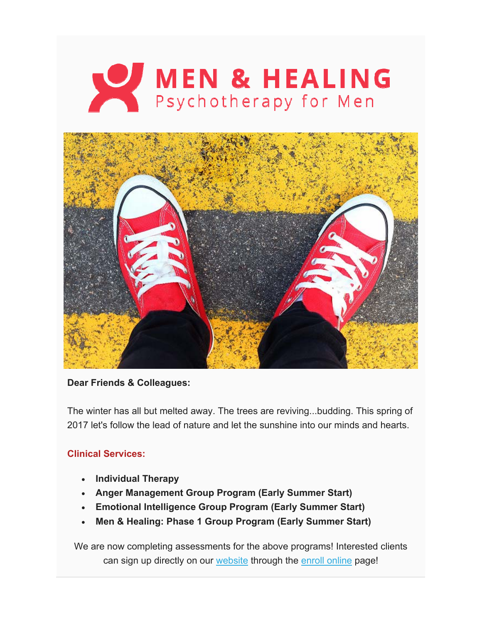

## **Dear Friends & Colleagues:**

The winter has all but melted away. The trees are reviving...budding. This spring of 2017 let's follow the lead of nature and let the sunshine into our minds and hearts.

## **Clinical Services:**

- **Individual Therapy**
- **Anger Management Group Program (Early Summer Start)**
- **Emotional Intelligence Group Program (Early Summer Start)**
- **Men & Healing: Phase 1 Group Program (Early Summer Start)**

We are now completing assessments for the above programs! Interested clients can sign up directly on our website through the enroll online page!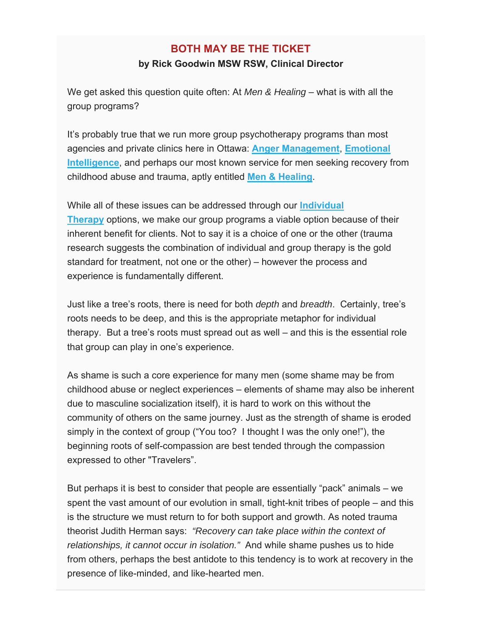# **BOTH MAY BE THE TICKET**

#### **by Rick Goodwin MSW RSW, Clinical Director**

We get asked this question quite often: At *Men & Healing* – what is with all the group programs?

It's probably true that we run more group psychotherapy programs than most agencies and private clinics here in Ottawa: **Anger Management**, **Emotional Intelligence**, and perhaps our most known service for men seeking recovery from childhood abuse and trauma, aptly entitled **Men & Healing**.

While all of these issues can be addressed through our **Individual Therapy** options, we make our group programs a viable option because of their inherent benefit for clients. Not to say it is a choice of one or the other (trauma research suggests the combination of individual and group therapy is the gold standard for treatment, not one or the other) – however the process and experience is fundamentally different.

Just like a tree's roots, there is need for both *depth* and *breadth*. Certainly, tree's roots needs to be deep, and this is the appropriate metaphor for individual therapy. But a tree's roots must spread out as well – and this is the essential role that group can play in one's experience.

As shame is such a core experience for many men (some shame may be from childhood abuse or neglect experiences – elements of shame may also be inherent due to masculine socialization itself), it is hard to work on this without the community of others on the same journey. Just as the strength of shame is eroded simply in the context of group ("You too? I thought I was the only one!"), the beginning roots of self-compassion are best tended through the compassion expressed to other "Travelers".

But perhaps it is best to consider that people are essentially "pack" animals – we spent the vast amount of our evolution in small, tight-knit tribes of people – and this is the structure we must return to for both support and growth. As noted trauma theorist Judith Herman says: *"Recovery can take place within the context of relationships, it cannot occur in isolation."* And while shame pushes us to hide from others, perhaps the best antidote to this tendency is to work at recovery in the presence of like-minded, and like-hearted men.